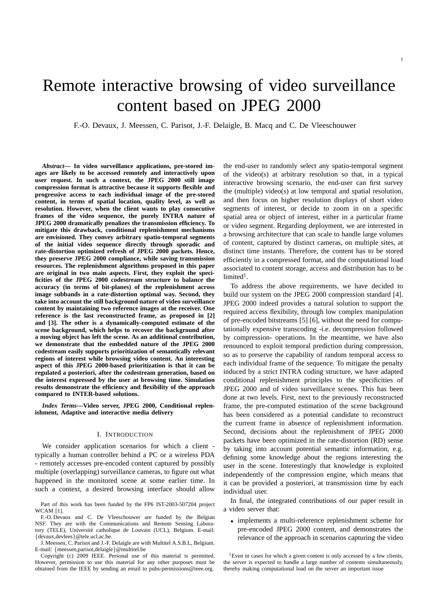# Remote interactive browsing of video surveillance content based on JPEG 2000

F.-O. Devaux, J. Meessen, C. Parisot, J.-F. Delaigle, B. Macq and C. De Vleeschouwer

*Abstract***— In video surveillance applications, pre-stored images are likely to be accessed remotely and interactively upon user request. In such a context, the JPEG 2000 still image compression format is attractive because it supports flexible and progressive access to each individual image of the pre-stored content, in terms of spatial location, quality level, as well as resolution. However, when the client wants to play consecutive frames of the video sequence, the purely INTRA nature of JPEG 2000 dramatically penalizes the transmission efficiency. To mitigate this drawback, conditional replenishment mechanisms are envisioned. They convey arbitrary spatio-temporal segments of the initial video sequence directly through sporadic and rate-distortion optimized refresh of JPEG 2000 packets. Hence, they preserve JPEG 2000 compliance, while saving transmission resources. The replenishment algorithms proposed in this paper are original in two main aspects. First, they exploit the specificities of the JPEG 2000 codestream structure to balance the accuracy (in terms of bit-planes) of the replenishment across image subbands in a rate-distortion optimal way. Second, they take into account the still background nature of video surveillance content by maintaining two reference images at the receiver. One reference is the last reconstructed frame, as proposed in [2] and [3]. The other is a dynamically-computed estimate of the scene background, which helps to recover the background after a moving object has left the scene. As an additional contribution, we demonstrate that the embedded nature of the JPEG 2000 codestream easily supports prioritization of semantically relevant regions of interest while browsing video content. An interesting aspect of this JPEG 2000-based prioritization is that it can be regulated a posteriori, after the codestream generation, based on the interest expressed by the user at browsing time. Simulation results demonstrate the efficiency and flexibility of the approach compared to INTER-based solutions.**

*Index Terms***—Video server, JPEG 2000, Conditional replenishment, Adaptive and interactive media delivery**

## I. INTRODUCTION

We consider application scenarios for which a client typically a human controller behind a PC or a wireless PDA - remotely accesses pre-encoded content captured by possibly multiple (overlapping) surveillance cameras, to figure out what happened in the monitored scene at some earlier time. In such a context, a desired browsing interface should allow

Part of this work has been funded by the FP6 IST-2003-507204 project WCAM [1].

F.-O. Devaux and C. De Vleeschouwer are funded by the Belgian NSF. They are with the Communications and Remote Sensing Laboratory (TELE), Université catholique de Louvain (UCL), Belgium. E-mail: {devaux,devlees}@tele.ucl.ac.be.

J. Meessen, C. Parisot and J.-F. Delaigle are with Multitel A.S.B.L, Belgium. E-mail: {meessen,parisot,delaigle}@multitel.be

Copyright (c) 2009 IEEE. Personal use of this material is permitted. However, permission to use this material for any other purposes must be obtained from the IEEE by sending an email to pubs-permissions@ieee.org.

the end-user to randomly select any spatio-temporal segment of the video(s) at arbitrary resolution so that, in a typical interactive browsing scenario, the end-user can first survey the (multiple) video(s) at low temporal and spatial resolution, and then focus on higher resolution displays of short video segments of interest, or decide to zoom in on a specific spatial area or object of interest, either in a particular frame or video segment. Regarding deployment, we are interested in a browsing architecture that can scale to handle large volumes of content, captured by distinct cameras, on multiple sites, at distinct time instants. Therefore, the content has to be stored efficiently in a compressed format, and the computational load associated to content storage, access and distribution has to be  $limited<sup>1</sup>$ .

To address the above requirements, we have decided to build our system on the JPEG 2000 compression standard [4]. JPEG 2000 indeed provides a natural solution to support the required access flexibility, through low complex manipulation of pre-encoded bitstreams [5] [6], without the need for computationally expensive transcoding -i.e. decompression followed by compression- operations. In the meantime, we have also renounced to exploit temporal prediction during compression, so as to preserve the capability of random temporal access to each individual frame of the sequence. To mitigate the penalty induced by a strict INTRA coding structure, we have adapted conditional replenishment principles to the specificities of JPEG 2000 and of video surveillance scenes. This has been done at two levels. First, next to the previously reconstructed frame, the pre-computed estimation of the scene background has been considered as a potential candidate to reconstruct the current frame in absence of replenishment information. Second, decisions about the replenishment of JPEG 2000 packets have been optimized in the rate-distortion (RD) sense by taking into account potential semantic information, e.g. defining some knowledge about the regions interesting the user in the scene. Interestingly that knowledge is exploited independently of the compression engine, which means that it can be provided a posteriori, at transmission time by each individual user.

In final, the integrated contributions of our paper result in a video server that:

• implements a multi-reference replenishment scheme for pre-encoded JPEG 2000 content, and demonstrates the relevance of the approach in scenarios capturing the video

<sup>&</sup>lt;sup>1</sup>Even in cases for which a given content is only accessed by a few clients, the server is expected to handle a large number of contents simultaneously, thereby making computational load on the server an important issue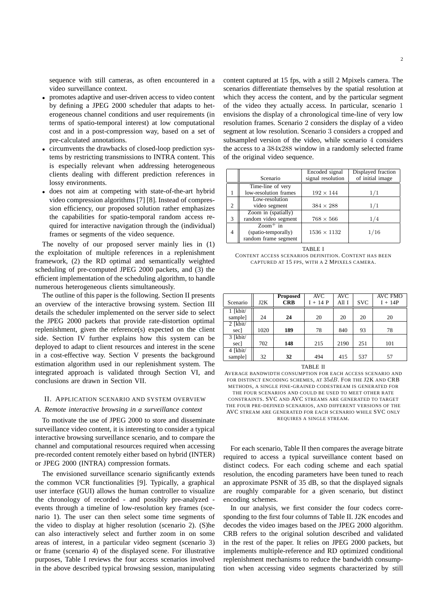sequence with still cameras, as often encountered in a video surveillance context.

- promotes adaptive and user-driven access to video content by defining a JPEG 2000 scheduler that adapts to heterogeneous channel conditions and user requirements (in terms of spatio-temporal interest) at low computational cost and in a post-compression way, based on a set of pre-calculated annotations.
- circumvents the drawbacks of closed-loop prediction systems by restricting transmissions to INTRA content. This is especially relevant when addressing heterogeneous clients dealing with different prediction references in lossy environments.
- does not aim at competing with state-of-the-art hybrid video compression algorithms [7] [8]. Instead of compression efficiency, our proposed solution rather emphasizes the capabilities for spatio-temporal random access required for interactive navigation through the (individual) frames or segments of the video sequence.

The novelty of our proposed server mainly lies in (1) the exploitation of multiple references in a replenishment framework, (2) the RD optimal and semantically weighted scheduling of pre-computed JPEG 2000 packets, and (3) the efficient implementation of the scheduling algorithm, to handle numerous heterogeneous clients simultaneously.

The outline of this paper is the following. Section II presents an overview of the interactive browsing system. Section III details the scheduler implemented on the server side to select the JPEG 2000 packets that provide rate-distortion optimal replenishment, given the reference(s) expected on the client side. Section IV further explains how this system can be deployed to adapt to client resources and interest in the scene in a cost-effective way. Section V presents the background estimation algorithm used in our replenishment system. The integrated approach is validated through Section VI, and conclusions are drawn in Section VII.

# II. APPLICATION SCENARIO AND SYSTEM OVERVIEW

#### *A. Remote interactive browsing in a surveillance context*

To motivate the use of JPEG 2000 to store and disseminate surveillance video content, it is interesting to consider a typical interactive browsing surveillance scenario, and to compare the channel and computational resources required when accessing pre-recorded content remotely either based on hybrid (INTER) or JPEG 2000 (INTRA) compression formats.

The envisioned surveillance scenario significantly extends the common VCR functionalities [9]. Typically, a graphical user interface (GUI) allows the human controller to visualize the chronology of recorded - and possibly pre-analyzed events through a timeline of low-resolution key frames (scenario 1). The user can then select some time segments of the video to display at higher resolution (scenario 2). (S)he can also interactively select and further zoom in on some areas of interest, in a particular video segment (scenario 3) or frame (scenario 4) of the displayed scene. For illustrative purposes, Table I reviews the four access scenarios involved in the above described typical browsing session, manipulating content captured at 15 fps, with a still 2 Mpixels camera. The scenarios differentiate themselves by the spatial resolution at which they access the content, and by the particular segment of the video they actually access. In particular, scenario 1 envisions the display of a chronological time-line of very low resolution frames. Scenario 2 considers the display of a video segment at low resolution. Scenario 3 considers a cropped and subsampled version of the video, while scenario 4 considers the access to a 384x288 window in a randomly selected frame of the original video sequence.

|                |                       | Encoded signal     | Displayed fraction |
|----------------|-----------------------|--------------------|--------------------|
|                | Scenario              | signal resolution  | of initial image   |
|                | Time-line of very     |                    |                    |
|                | low-resolution frames | $192 \times 144$   | 1/1                |
|                | Low-resolution        |                    |                    |
| $\overline{c}$ | video segment         | $384 \times 288$   | 1/1                |
|                | Zoom in (spatially)   |                    |                    |
| 3              | random video segment  | $768 \times 566$   | 1/4                |
|                | $Zoom^+$ in           |                    |                    |
| 4              | (spatio-temporally)   | $1536 \times 1132$ | 1/16               |
|                | random frame segment  |                    |                    |

TABLE I CONTENT ACCESS SCENARIOS DEFINITION. CONTENT HAS BEEN CAPTURED AT 15 FPS, WITH A 2 MPIXELS CAMERA.

|            |      | <b>Proposed</b> | <b>AVC</b> | AVC   |            | AVC FMO   |
|------------|------|-----------------|------------|-------|------------|-----------|
| Scenario   | J2K  | <b>CRB</b>      | $I + 14P$  | All I | <b>SVC</b> | $I + 14P$ |
| $1$ [kbit/ |      |                 |            |       |            |           |
| sample]    | 24   | 24              | 20         | 20    | 20         | 20        |
| $2$ [kbit/ |      |                 |            |       |            |           |
| sec]       | 1020 | 189             | 78         | 840   | 93         | 78        |
| $3$ [kbit/ |      |                 |            |       |            |           |
| secl       | 702  | 148             | 215        | 2190  | 251        | 101       |
| 4 [kbit/   |      |                 |            |       |            |           |
| sample]    | 32   | 32              | 494        | 415   | 537        | 57        |

#### TABLE II

AVERAGE BANDWIDTH CONSUMPTION FOR EACH ACCESS SCENARIO AND FOR DISTINCT ENCODING SCHEMES, AT  $35dB$ . FOR THE J2K AND CRB METHODS, A SINGLE FINE-GRAINED CODESTREAM IS GENERATED FOR THE FOUR SCENARIOS AND COULD BE USED TO MEET OTHER RATE CONSTRAINTS. SVC AND AVC STREAMS ARE GENERATED TO TARGET THE FOUR PRE-DEFINED SCENARIOS, AND DIFFERENT VERSIONS OF THE AVC STREAM ARE GENERATED FOR EACH SCENARIO WHILE SVC ONLY REQUIRES A SINGLE STREAM.

For each scenario, Table II then compares the average bitrate required to access a typical surveillance content based on distinct codecs. For each coding scheme and each spatial resolution, the encoding parameters have been tuned to reach an approximate PSNR of 35 dB, so that the displayed signals are roughly comparable for a given scenario, but distinct encoding schemes.

In our analysis, we first consider the four codecs corresponding to the first four columns of Table II. J2K encodes and decodes the video images based on the JPEG 2000 algorithm. CRB refers to the original solution described and validated in the rest of the paper. It relies on JPEG 2000 packets, but implements multiple-reference and RD optimized conditional replenishment mechanisms to reduce the bandwidth consumption when accessing video segments characterized by still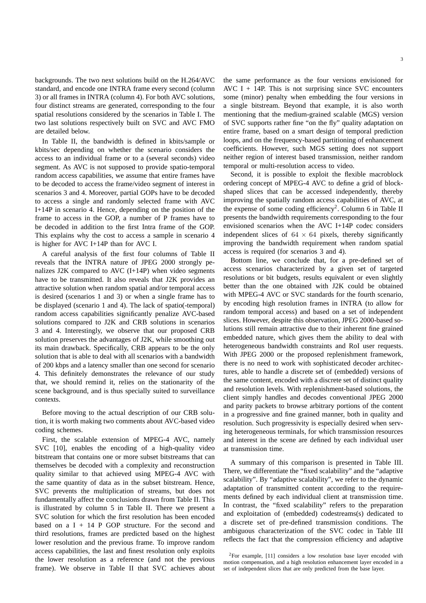backgrounds. The two next solutions build on the H.264/AVC standard, and encode one INTRA frame every second (column 3) or all frames in INTRA (column 4). For both AVC solutions, four distinct streams are generated, corresponding to the four spatial resolutions considered by the scenarios in Table I. The two last solutions respectively built on SVC and AVC FMO are detailed below.

In Table II, the bandwidth is defined in kbits/sample or kbits/sec depending on whether the scenario considers the access to an individual frame or to a (several seconds) video segment. As AVC is not supposed to provide spatio-temporal random access capabilities, we assume that entire frames have to be decoded to access the frame/video segment of interest in scenarios 3 and 4. Moreover, partial GOPs have to be decoded to access a single and randomly selected frame with AVC I+14P in scenario 4. Hence, depending on the position of the frame to access in the GOP, a number of P frames have to be decoded in addition to the first Intra frame of the GOP. This explains why the cost to access a sample in scenario 4 is higher for AVC I+14P than for AVC I.

A careful analysis of the first four columns of Table II reveals that the INTRA nature of JPEG 2000 strongly penalizes J2K compared to AVC (I+14P) when video segments have to be transmitted. It also reveals that J2K provides an attractive solution when random spatial and/or temporal access is desired (scenarios 1 and 3) or when a single frame has to be displayed (scenario 1 and 4). The lack of spatio(-temporal) random access capabilities significantly penalize AVC-based solutions compared to J2K and CRB solutions in scenarios 3 and 4. Interestingly, we observe that our proposed CRB solution preserves the advantages of J2K, while smoothing out its main drawback. Specifically, CRB appears to be the only solution that is able to deal with all scenarios with a bandwidth of 200 kbps and a latency smaller than one second for scenario 4. This definitely demonstrates the relevance of our study that, we should remind it, relies on the stationarity of the scene background, and is thus specially suited to surveillance contexts.

Before moving to the actual description of our CRB solution, it is worth making two comments about AVC-based video coding schemes.

First, the scalable extension of MPEG-4 AVC, namely SVC [10], enables the encoding of a high-quality video bitstream that contains one or more subset bitstreams that can themselves be decoded with a complexity and reconstruction quality similar to that achieved using MPEG-4 AVC with the same quantity of data as in the subset bitstream. Hence, SVC prevents the multiplication of streams, but does not fundamentally affect the conclusions drawn from Table II. This is illustrated by column 5 in Table II. There we present a SVC solution for which the first resolution has been encoded based on a  $I + 14$  P GOP structure. For the second and third resolutions, frames are predicted based on the highest lower resolution and the previous frame. To improve random access capabilities, the last and finest resolution only exploits the lower resolution as a reference (and not the previous frame). We observe in Table II that SVC achieves about the same performance as the four versions envisioned for AVC I  $+$  14P. This is not surprising since SVC encounters some (minor) penalty when embedding the four versions in a single bitstream. Beyond that example, it is also worth mentioning that the medium-grained scalable (MGS) version of SVC supports rather fine "on the fly" quality adaptation on entire frame, based on a smart design of temporal prediction loops, and on the frequency-based partitioning of enhancement coefficients. However, such MGS setting does not support neither region of interest based transmission, neither random temporal or multi-resolution access to video.

Second, it is possible to exploit the flexible macroblock ordering concept of MPEG-4 AVC to define a grid of blockshaped slices that can be accessed independently, thereby improving the spatially random access capabilities of AVC, at the expense of some coding efficiency<sup>2</sup>. Column 6 in Table II presents the bandwidth requirements corresponding to the four envisioned scenarios when the AVC I+14P codec considers independent slices of  $64 \times 64$  pixels, thereby significantly improving the bandwidth requirement when random spatial access is required (for scenarios 3 and 4).

Bottom line, we conclude that, for a pre-defined set of access scenarios characterized by a given set of targeted resolutions or bit budgets, results equivalent or even slightly better than the one obtained with J2K could be obtained with MPEG-4 AVC or SVC standards for the fourth scenario, by encoding high resolution frames in INTRA (to allow for random temporal access) and based on a set of independent slices. However, despite this observation, JPEG 2000-based solutions still remain attractive due to their inherent fine grained embedded nature, which gives them the ability to deal with heterogeneous bandwidth constraints and RoI user requests. With JPEG 2000 or the proposed replenishment framework, there is no need to work with sophisticated decoder architectures, able to handle a discrete set of (embedded) versions of the same content, encoded with a discrete set of distinct quality and resolution levels. With replenishment-based solutions, the client simply handles and decodes conventional JPEG 2000 and parity packets to browse arbitrary portions of the content in a progressive and fine grained manner, both in quality and resolution. Such progressivity is especially desired when serving heterogeneous terminals, for which transmission resources and interest in the scene are defined by each individual user at transmission time.

A summary of this comparison is presented in Table III. There, we differentiate the "fixed scalability" and the "adaptive scalability". By "adaptive scalability", we refer to the dynamic adaptation of transmitted content according to the requirements defined by each individual client at transmission time. In contrast, the "fixed scalability" refers to the preparation and exploitation of (embedded) codestreams(s) dedicated to a discrete set of pre-defined transmission conditions. The ambiguous characterization of the SVC codec in Table III reflects the fact that the compression efficiency and adaptive

 ${}^{2}$ For example, [11] considers a low resolution base layer encoded with motion compensation, and a high resolution enhancement layer encoded in a set of independent slices that are only predicted from the base layer.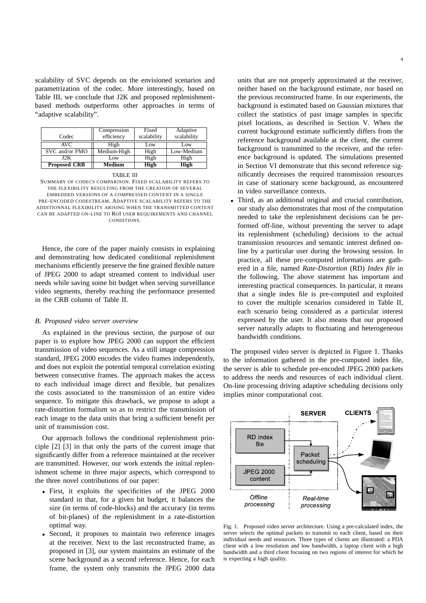scalability of SVC depends on the envisioned scenarios and parametrization of the codec. More interestingly, based on Table III, we conclude that J2K and proposed replenishmentbased methods outperforms other approaches in terms of "adaptive scalability".

| Codec               | Compression<br>efficiency | Fixed<br>scalability | Adaptive<br>scalability |
|---------------------|---------------------------|----------------------|-------------------------|
| AVC                 | High                      | Low                  | Low                     |
| SVC and/or FMO      | Medium-High               |                      | Low-Medium              |
| J2K                 | Low                       | High                 | High                    |
| <b>Proposed CRB</b> | Medium                    | High                 | High                    |

TABLE III SUMMARY OF CODECS COMPARISON. FIXED SCALABILITY REFERS TO THE FLEXIBILITY RESULTING FROM THE CREATION OF SEVERAL EMBEDDED VERSIONS OF A COMPRESSED CONTENT IN A SINGLE PRE-ENCODED CODESTREAM. ADAPTIVE SCALABILITY REFERS TO THE ADDITIONNAL FLEXIBILITY ARISING WHEN THE TRANSMITTED CONTENT CAN BE ADAPTED ON-LINE TO ROI USER REQUIREMENTS AND CHANNEL **CONDITIONS** 

Hence, the core of the paper mainly consists in explaining and demonstrating how dedicated conditional replenishment mechanisms efficiently preserve the fine grained flexible nature of JPEG 2000 to adapt streamed content to individual user needs while saving some bit budget when serving surveillance video segments, thereby reaching the performance presented in the CRB column of Table II.

## *B. Proposed video server overview*

As explained in the previous section, the purpose of our paper is to explore how JPEG 2000 can support the efficient transmission of video sequences. As a still image compression standard, JPEG 2000 encodes the video frames independently, and does not exploit the potential temporal correlation existing between consecutive frames. The approach makes the access to each individual image direct and flexible, but penalizes the costs associated to the transmission of an entire video sequence. To mitigate this drawback, we propose to adopt a rate-distortion formalism so as to restrict the transmission of each image to the data units that bring a sufficient benefit per unit of transmission cost.

Our approach follows the conditional replenishment principle [2] [3] in that only the parts of the current image that significantly differ from a reference maintained at the receiver are transmitted. However, our work extends the initial replenishment scheme in three major aspects, which correspond to the three novel contributions of our paper:

- First, it exploits the specificities of the JPEG 2000 standard in that, for a given bit budget, it balances the size (in terms of code-blocks) and the accuracy (in terms of bit-planes) of the replenishment in a rate-distortion optimal way.
- Second, it proposes to maintain two reference images at the receiver. Next to the last reconstructed frame, as proposed in [3], our system maintains an estimate of the scene background as a second reference. Hence, for each frame, the system only transmits the JPEG 2000 data

units that are not properly approximated at the receiver, neither based on the background estimate, nor based on the previous reconstructed frame. In our experiments, the background is estimated based on Gaussian mixtures that collect the statistics of past image samples in specific pixel locations, as described in Section V. When the current background estimate sufficiently differs from the reference background available at the client, the current background is transmitted to the receiver, and the reference background is updated. The simulations presented in Section VI demonstrate that this second reference significantly decreases the required transmission resources in case of stationary scene background, as encountered in video surveillance contexts.

• Third, as an additional original and crucial contribution, our study also demonstrates that most of the computation needed to take the replenishment decisions can be performed off-line, without preventing the server to adapt its replenishment (scheduling) decisions to the actual transmission resources and semantic interest defined online by a particular user during the browsing session. In practice, all these pre-computed informations are gathered in a file, named *Rate-Distortion* (RD) *Index file* in the following. The above statement has important and interesting practical consequences. In particular, it means that a single index file is pre-computed and exploited to cover the multiple scenarios considered in Table II, each scenario being considered as a particular interest expressed by the user. It also means that our proposed server naturally adapts to fluctuating and heterogeneous bandwidth conditions.

The proposed video server is depicted in Figure 1. Thanks to the information gathered in the pre-computed index file, the server is able to schedule pre-encoded JPEG 2000 packets to address the needs and resources of each individual client. On-line processing driving adaptive scheduling decisions only implies minor computational cost.



Fig. 1. Proposed video server architecture. Using a pre-calculated index, the server selects the optimal packets to transmit to each client, based on their individual needs and resources. Three types of clients are illustrated: a PDA client with a low resolution and low bandwidth, a laptop client with a high bandwidth and a third client focusing on two regions of interest for which he is expecting a high quality.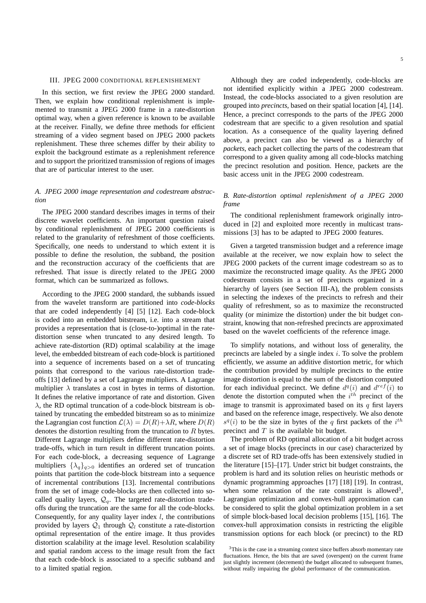## III. JPEG 2000 CONDITIONAL REPLENISHEMENT

In this section, we first review the JPEG 2000 standard. Then, we explain how conditional replenishment is implemented to transmit a JPEG 2000 frame in a rate-distortion optimal way, when a given reference is known to be available at the receiver. Finally, we define three methods for efficient streaming of a video segment based on JPEG 2000 packets replenishment. These three schemes differ by their ability to exploit the background estimate as a replenishment reference and to support the prioritized transmission of regions of images that are of particular interest to the user.

# *A. JPEG 2000 image representation and codestream abstraction*

The JPEG 2000 standard describes images in terms of their discrete wavelet coefficients. An important question raised by conditional replenishment of JPEG 2000 coefficients is related to the granularity of refreshment of those coefficients. Specifically, one needs to understand to which extent it is possible to define the resolution, the subband, the position and the reconstruction accuracy of the coefficients that are refreshed. That issue is directly related to the JPEG 2000 format, which can be summarized as follows.

According to the JPEG 2000 standard, the subbands issued from the wavelet transform are partitioned into *code-blocks* that are coded independently [4] [5] [12]. Each code-block is coded into an embedded bitstream, i.e. into a stream that provides a representation that is (close-to-)optimal in the ratedistortion sense when truncated to any desired length. To achieve rate-distortion (RD) optimal scalability at the image level, the embedded bitstream of each code-block is partitioned into a sequence of increments based on a set of truncating points that correspond to the various rate-distortion tradeoffs [13] defined by a set of Lagrange multipliers. A Lagrange multiplier  $\lambda$  translates a cost in bytes in terms of distortion. It defines the relative importance of rate and distortion. Given  $\lambda$ , the RD optimal truncation of a code-block bitstream is obtained by truncating the embedded bitstream so as to minimize the Lagrangian cost function  $\mathcal{L}(\lambda) = D(R) + \lambda R$ , where  $D(R)$ denotes the distortion resulting from the truncation to  $R$  bytes. Different Lagrange multipliers define different rate-distortion trade-offs, which in turn result in different truncation points. For each code-block, a decreasing sequence of Lagrange multipliers  $\{\lambda_q\}_{q>0}$  identifies an ordered set of truncation points that partition the code-block bitstream into a sequence of incremental contributions [13]. Incremental contributions from the set of image code-blocks are then collected into socalled quality layers,  $\mathcal{Q}_a$ . The targeted rate-distortion tradeoffs during the truncation are the same for all the code-blocks. Consequently, for any quality layer index  $l$ , the contributions provided by layers  $Q_1$  through  $Q_l$  constitute a rate-distortion optimal representation of the entire image. It thus provides distortion scalability at the image level. Resolution scalability and spatial random access to the image result from the fact that each code-block is associated to a specific subband and to a limited spatial region.

Although they are coded independently, code-blocks are not identified explicitly within a JPEG 2000 codestream. Instead, the code-blocks associated to a given resolution are grouped into *precincts*, based on their spatial location [4], [14]. Hence, a precinct corresponds to the parts of the JPEG 2000 codestream that are specific to a given resolution and spatial location. As a consequence of the quality layering defined above, a precinct can also be viewed as a hierarchy of *packets*, each packet collecting the parts of the codestream that correspond to a given quality among all code-blocks matching the precinct resolution and position. Hence, packets are the basic access unit in the JPEG 2000 codestream.

# *B. Rate-distortion optimal replenishment of a JPEG 2000 frame*

The conditional replenishment framework originally introduced in [2] and exploited more recently in multicast transmissions [3] has to be adapted to JPEG 2000 features.

Given a targeted transmission budget and a reference image available at the receiver, we now explain how to select the JPEG 2000 packets of the current image codestream so as to maximize the reconstructed image quality. As the JPEG 2000 codestream consists in a set of precincts organized in a hierarchy of layers (see Section III-A), the problem consists in selecting the indexes of the precincts to refresh and their quality of refreshment, so as to maximize the reconstructed quality (or minimize the distortion) under the bit budget constraint, knowing that non-refreshed precincts are approximated based on the wavelet coefficients of the reference image.

To simplify notations, and without loss of generality, the precincts are labeled by a single index  $i$ . To solve the problem efficiently, we assume an additive distortion metric, for which the contribution provided by multiple precincts to the entire image distortion is equal to the sum of the distortion computed for each individual precinct. We define  $d^q(i)$  and  $d^{ref}(i)$  to denote the distortion computed when the  $i^{th}$  precinct of the image to transmit is approximated based on its  $q$  first layers and based on the reference image, respectively. We also denote  $s^q(i)$  to be the size in bytes of the q first packets of the  $i^{th}$ precinct and  $T$  is the available bit budget.

The problem of RD optimal allocation of a bit budget across a set of image blocks (precincts in our case) characterized by a discrete set of RD trade-offs has been extensively studied in the literature [15]–[17]. Under strict bit budget constraints, the problem is hard and its solution relies on heuristic methods or dynamic programming approaches [17] [18] [19]. In contrast, when some relaxation of the rate constraint is allowed<sup>3</sup>, Lagrangian optimization and convex-hull approximation can be considered to split the global optimization problem in a set of simple block-based local decision problems [15], [16]. The convex-hull approximation consists in restricting the eligible transmission options for each block (or precinct) to the RD

<sup>&</sup>lt;sup>3</sup>This is the case in a streaming context since buffers absorb momentary rate fluctuations. Hence, the bits that are saved (overspent) on the current frame just slightly increment (decrement) the budget allocated to subsequent frames, without really impairing the global performance of the communication.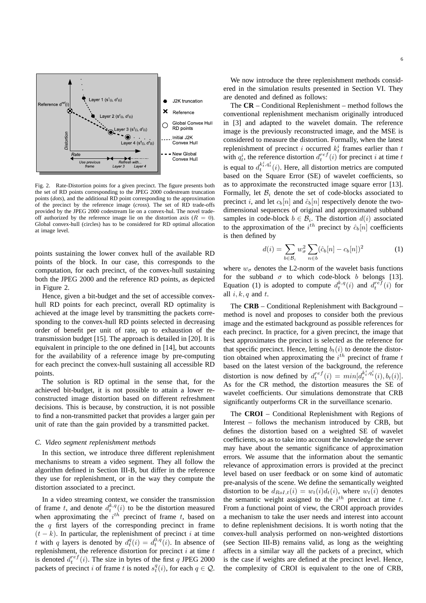

Fig. 2. Rate-Distortion points for a given precinct. The figure presents both the set of RD points corresponding to the JPEG 2000 codestream truncation points (*dots*), and the additional RD point corresponding to the approximation of the precinct by the reference image (*cross*). The set of RD trade-offs provided by the JPEG 2000 codestream lie on a convex-hul. The novel tradeoff authorized by the reference image lie on the distortion axis  $(R = 0)$ . Global convex-hull (circles) has to be considered for RD optimal allocation at image level.

points sustaining the lower convex hull of the available RD points of the block. In our case, this corresponds to the computation, for each precinct, of the convex-hull sustaining both the JPEG 2000 and the reference RD points, as depicted in Figure 2.

Hence, given a bit-budget and the set of accessible convexhull RD points for each precinct, overall RD optimality is achieved at the image level by transmitting the packets corresponding to the convex-hull RD points selected in decreasing order of benefit per unit of rate, up to exhaustion of the transmission budget [15]. The approach is detailed in [20]. It is equivalent in principle to the one defined in [14], but accounts for the availability of a reference image by pre-computing for each precinct the convex-hull sustaining all accessible RD points.

The solution is RD optimal in the sense that, for the achieved bit-budget, it is not possible to attain a lower reconstructed image distortion based on different refreshment decisions. This is because, by construction, it is not possible to find a non-transmitted packet that provides a larger gain per unit of rate than the gain provided by a transmitted packet.

# *C. Video segment replenishment methods*

In this section, we introduce three different replenishment mechanisms to stream a video segment. They all follow the algorithm defined in Section III-B, but differ in the reference they use for replenishment, or in the way they compute the distortion associated to a precinct.

In a video streaming context, we consider the transmission of frame t, and denote  $d_t^{k,q}(i)$  to be the distortion measured when approximating the  $i^{th}$  precinct of frame t, based on the  $q$  first layers of the corresponding precinct in frame  $(t - k)$ . In particular, the replenishment of precinct i at time t with q layers is denoted by  $d_t^q(i) = d_t^{0,q}(i)$ . In absence of replenishment, the reference distortion for precinct  $i$  at time  $t$ is denoted  $d_t^{ref}(i)$ . The size in bytes of the first q JPEG 2000 packets of precinct i of frame t is noted  $s_t^q(i)$ , for each  $q \in \mathcal{Q}$ .

We now introduce the three replenishment methods considered in the simulation results presented in Section VI. They are denoted and defined as follows:

The **CR** – Conditional Replenishment – method follows the conventional replenishment mechanism originally introduced in [3] and adapted to the wavelet domain. The reference image is the previously reconstructed image, and the MSE is considered to measure the distortion. Formally, when the latest replenishment of precinct i occurred  $k_t^i$  frames earlier than t with  $q_t^i$ , the reference distortion  $d_t^{ref}(i)$  for precinct i at time t is equal to  $d_t^{k_t^i, q_t^i}(i)$ . Here, all distortion metrics are computed based on the Square Error (SE) of wavelet coefficients, so as to approximate the reconstructed image square error [13]. Formally, let  $\mathcal{B}_i$  denote the set of code-blocks associated to precinct i, and let  $c_b[n]$  and  $\hat{c}_b[n]$  respectively denote the twodimensional sequences of original and approximated subband samples in code-block  $b \in \mathcal{B}_i$ . The distortion  $d(i)$  associated to the approximation of the  $i^{th}$  precinct by  $\hat{c}_b[n]$  coefficients is then defined by

$$
d(i) = \sum_{b \in \mathcal{B}_i} w_{\sigma}^2 \sum_{n \in b} (\hat{c}_b[n] - c_b[n])^2
$$
 (1)

where  $w_{\sigma}$  denotes the L2-norm of the wavelet basis functions for the subband  $\sigma$  to which code-block b belongs [13]. Equation (1) is adopted to compute  $d_t^{k,q}(i)$  and  $d_t^{ref}(i)$  for all  $i, k, q$  and  $t$ .

The **CRB** – Conditional Replenishment with Background – method is novel and proposes to consider both the previous image and the estimated background as possible references for each precinct. In practice, for a given precinct, the image that best approximates the precinct is selected as the reference for that specific precinct. Hence, letting  $b_t(i)$  to denote the distortion obtained when approximating the  $i^{th}$  precinct of frame  $t$ based on the latest version of the background, the reference distortion is now defined by  $d_t^{ref}(i) = min[d_t^{k_t^i, q_t^i}(i), b_t(i)]$ . As for the CR method, the distortion measures the SE of wavelet coefficients. Our simulations demonstrate that CRB significantly outperforms CR in the surveillance scenario.

The **CROI** – Conditional Replenishment with Regions of Interest – follows the mechanism introduced by CRB, but defines the distortion based on a weighted SE of wavelet coefficients, so as to take into account the knowledge the server may have about the semantic significance of approximation errors. We assume that the information about the semantic relevance of approximation errors is provided at the precinct level based on user feedback or on some kind of automatic pre-analysis of the scene. We define the semantically weighted distortion to be  $d_{RoI,t}(i) = w_t(i)d_t(i)$ , where  $w_t(i)$  denotes the semantic weight assigned to the  $i^{th}$  precinct at time t. From a functional point of view, the CROI approach provides a mechanism to take the user needs and interest into account to define replenishment decisions. It is worth noting that the convex-hull analysis performed on non-weighted distortions (see Section III-B) remains valid, as long as the weighting affects in a similar way all the packets of a precinct, which is the case if weights are defined at the precinct level. Hence, the complexity of CROI is equivalent to the one of CRB,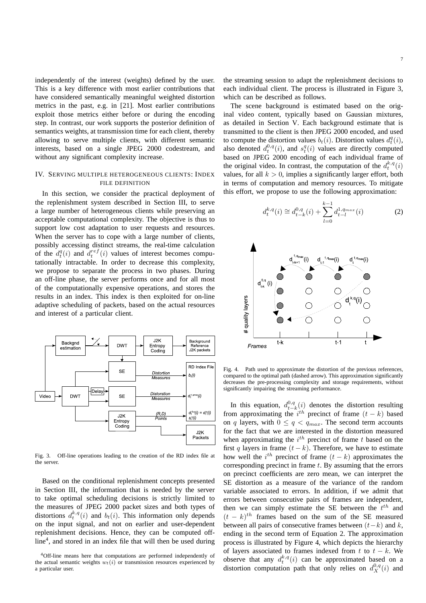independently of the interest (weights) defined by the user. This is a key difference with most earlier contributions that have considered semantically meaningful weighted distortion metrics in the past, e.g. in [21]. Most earlier contributions exploit those metrics either before or during the encoding step. In contrast, our work supports the posterior definition of semantics weights, at transmission time for each client, thereby allowing to serve multiple clients, with different semantic interests, based on a single JPEG 2000 codestream, and without any significant complexity increase.

# IV. SERVING MULTIPLE HETEROGENEOUS CLIENTS: INDEX FILE DEFINITION

In this section, we consider the practical deployment of the replenishment system described in Section III, to serve a large number of heterogeneous clients while preserving an acceptable computational complexity. The objective is thus to support low cost adaptation to user requests and resources. When the server has to cope with a large number of clients, possibly accessing distinct streams, the real-time calculation of the  $d_t^q(i)$  and  $d_t^{ref}(i)$  values of interest becomes computationally intractable. In order to decrease this complexity, we propose to separate the process in two phases. During an off-line phase, the server performs once and for all most of the computationally expensive operations, and stores the results in an index. This index is then exploited for on-line adaptive scheduling of packets, based on the actual resources and interest of a particular client.



Fig. 3. Off-line operations leading to the creation of the RD index file at the server.

Based on the conditional replenishment concepts presented in Section III, the information that is needed by the server to take optimal scheduling decisions is strictly limited to the measures of JPEG 2000 packet sizes and both types of distortions  $d_t^{k,q}(i)$  and  $b_t(i)$ . This information only depends on the input signal, and not on earlier and user-dependent replenishment decisions. Hence, they can be computed offline<sup>4</sup> , and stored in an index file that will then be used during the streaming session to adapt the replenishment decisions to each individual client. The process is illustrated in Figure 3, which can be described as follows.

The scene background is estimated based on the original video content, typically based on Gaussian mixtures, as detailed in Section V. Each background estimate that is transmitted to the client is then JPEG 2000 encoded, and used to compute the distortion values  $b_t(i)$ . Distortion values  $d_t^q(i)$ , to compute the distortion values  $\theta_t(v)$ . Distortion values  $a_t(v)$ ,<br>also denoted  $d_t^{0,q}(i)$ , and  $s_t^q(i)$  values are directly computed based on JPEG 2000 encoding of each individual frame of the original video. In contrast, the computation of the  $d_t^{k,q}(i)$ values, for all  $k > 0$ , implies a significantly larger effort, both in terms of computation and memory resources. To mitigate this effort, we propose to use the following approximation:

$$
d_t^{k,q}(i) \cong d_{t-k}^{0,q}(i) + \sum_{l=0}^{k-1} d_{t-l}^{1,q_{max}}(i)
$$
 (2)



Fig. 4. Path used to approximate the distortion of the previous references, compared to the optimal path (dashed arrow). This approximation significantly decreases the pre-processing complexity and storage requirements, without significantly impairing the streaming performance.

In this equation,  $d_{t-k}^{0,q}(i)$  denotes the distortion resulting from approximating the  $i^{th}$  precinct of frame  $(t - k)$  based on q layers, with  $0 \le q < q_{max}$ . The second term accounts for the fact that we are interested in the distortion measured when approximating the  $i^{th}$  precinct of frame t based on the first q layers in frame  $(t - k)$ . Therefore, we have to estimate how well the  $i^{th}$  precinct of frame  $(t - k)$  approximates the corresponding precinct in frame  $t$ . By assuming that the errors on precinct coefficients are zero mean, we can interpret the SE distortion as a measure of the variance of the random variable associated to errors. In addition, if we admit that errors between consecutive pairs of frames are independent, then we can simply estimate the SE between the  $t^{th}$  and  $(t - k)^{th}$  frames based on the sum of the SE measured between all pairs of consecutive frames between  $(t-k)$  and k, ending in the second term of Equation 2. The approximation process is illustrated by Figure 4, which depicts the hierarchy of layers associated to frames indexed from t to  $t - k$ . We observe that any  $d_t^{k,q}(i)$  can be approximated based on a distortion computation path that only relies on  $d_X^{0,q}(i)$  and

<sup>4</sup>Off-line means here that computations are performed independently of the actual semantic weights  $w_t(i)$  or transmission resources experienced by a particular user.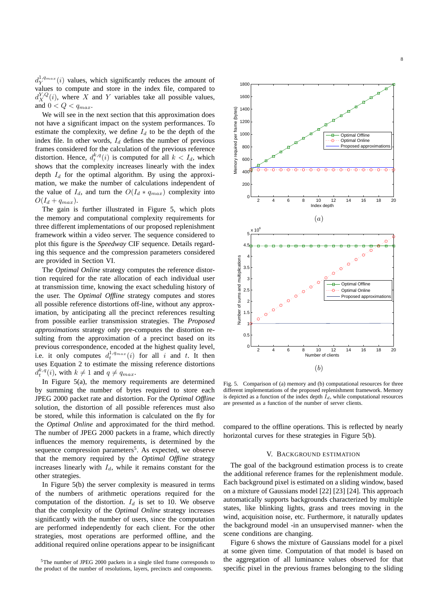$d_Y^{1,q_{max}}(i)$  values, which significantly reduces the amount of values to compute and store in the index file, compared to  $d_X^{Y,Q}(i)$ , where X and Y variables take all possible values, and  $0 < Q < q_{max}$ .

We will see in the next section that this approximation does not have a significant impact on the system performances. To estimate the complexity, we define  $I_d$  to be the depth of the index file. In other words,  $I_d$  defines the number of previous frames considered for the calculation of the previous reference distortion. Hence,  $d_t^{k,q}(i)$  is computed for all  $k < I_d$ , which shows that the complexity increases linearly with the index depth  $I_d$  for the optimal algorithm. By using the approximation, we make the number of calculations independent of the value of  $I_d$ , and turn the  $O(I_d * q_{max})$  complexity into  $O(I_d + q_{max}).$ 

The gain is further illustrated in Figure 5, which plots the memory and computational complexity requirements for three different implementations of our proposed replenishment framework within a video server. The sequence considered to plot this figure is the *Speedway* CIF sequence. Details regarding this sequence and the compression parameters considered are provided in Section VI.

The *Optimal Online* strategy computes the reference distortion required for the rate allocation of each individual user at transmission time, knowing the exact scheduling history of the user. The *Optimal Offline* strategy computes and stores all possible reference distortions off-line, without any approximation, by anticipating all the precinct references resulting from possible earlier transmission strategies. The *Proposed approximations* strategy only pre-computes the distortion resulting from the approximation of a precinct based on its previous correspondence, encoded at the highest quality level, i.e. it only computes  $d_t^{1,q_{max}}(i)$  for all i and t. It then uses Equation 2 to estimate the missing reference distortions  $d_t^{k,q}(i)$ , with  $k \neq 1$  and  $q \neq q_{max}$ .

In Figure  $5(a)$ , the memory requirements are determined by summing the number of bytes required to store each JPEG 2000 packet rate and distortion. For the *Optimal Offline* solution, the distortion of all possible references must also be stored, while this information is calculated on the fly for the *Optimal Online* and approximated for the third method. The number of JPEG 2000 packets in a frame, which directly influences the memory requirements, is determined by the sequence compression parameters<sup>5</sup>. As expected, we observe that the memory required by the *Optimal Offline* strategy increases linearly with  $I_d$ , while it remains constant for the other strategies.

In Figure 5(b) the server complexity is measured in terms of the numbers of arithmetic operations required for the computation of the distortion.  $I_d$  is set to 10. We observe that the complexity of the *Optimal Online* strategy increases significantly with the number of users, since the computation are performed independently for each client. For the other strategies, most operations are performed offline, and the additional required online operations appear to be insignificant



Fig. 5. Comparison of (a) memory and (b) computational resources for three different implementations of the proposed replenishment framework. Memory is depicted as a function of the index depth  $I_d$ , while computational resources are presented as a function of the number of server clients.

compared to the offline operations. This is reflected by nearly horizontal curves for these strategies in Figure 5(b).

## V. BACKGROUND ESTIMATION

The goal of the background estimation process is to create the additional reference frames for the replenishment module. Each background pixel is estimated on a sliding window, based on a mixture of Gaussians model [22] [23] [24]. This approach automatically supports backgrounds characterized by multiple states, like blinking lights, grass and trees moving in the wind, acquisition noise, etc. Furthermore, it naturally updates the background model -in an unsupervised manner- when the scene conditions are changing.

Figure 6 shows the mixture of Gaussians model for a pixel at some given time. Computation of that model is based on the aggregation of all luminance values observed for that specific pixel in the previous frames belonging to the sliding

<sup>5</sup>The number of JPEG 2000 packets in a single tiled frame corresponds to the product of the number of resolutions, layers, precincts and components.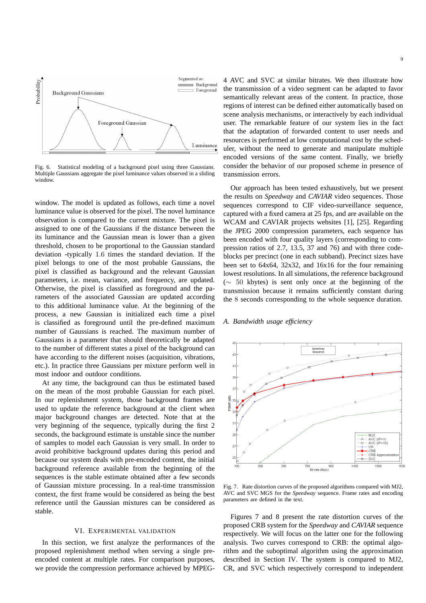

Fig. 6. Statistical modeling of a background pixel using three Gaussians. Multiple Gaussians aggregate the pixel luminance values observed in a sliding window.

window. The model is updated as follows, each time a novel luminance value is observed for the pixel. The novel luminance observation is compared to the current mixture. The pixel is assigned to one of the Gaussians if the distance between the its luminance and the Gaussian mean is lower than a given threshold, chosen to be proportional to the Gaussian standard deviation -typically 1.6 times the standard deviation. If the pixel belongs to one of the most probable Gaussians, the pixel is classified as background and the relevant Gaussian parameters, i.e. mean, variance, and frequency, are updated. Otherwise, the pixel is classified as foreground and the parameters of the associated Gaussian are updated according to this additional luminance value. At the beginning of the process, a new Gaussian is initialized each time a pixel is classified as foreground until the pre-defined maximum number of Gaussians is reached. The maximum number of Gaussians is a parameter that should theoretically be adapted to the number of different states a pixel of the background can have according to the different noises (acquisition, vibrations, etc.). In practice three Gaussians per mixture perform well in most indoor and outdoor conditions.

At any time, the background can thus be estimated based on the mean of the most probable Gaussian for each pixel. In our replenishment system, those background frames are used to update the reference background at the client when major background changes are detected. Note that at the very beginning of the sequence, typically during the first 2 seconds, the background estimate is unstable since the number of samples to model each Gaussian is very small. In order to avoid prohibitive background updates during this period and because our system deals with pre-encoded content, the initial background reference available from the beginning of the sequences is the stable estimate obtained after a few seconds of Gaussian mixture processing. In a real-time transmission context, the first frame would be considered as being the best reference until the Gaussian mixtures can be considered as stable.

# VI. EXPERIMENTAL VALIDATION

In this section, we first analyze the performances of the proposed replenishment method when serving a single preencoded content at multiple rates. For comparison purposes, we provide the compression performance achieved by MPEG-

4 AVC and SVC at similar bitrates. We then illustrate how the transmission of a video segment can be adapted to favor semantically relevant areas of the content. In practice, those regions of interest can be defined either automatically based on scene analysis mechanisms, or interactively by each individual user. The remarkable feature of our system lies in the fact that the adaptation of forwarded content to user needs and resources is performed at low computational cost by the scheduler, without the need to generate and manipulate multiple encoded versions of the same content. Finally, we briefly consider the behavior of our proposed scheme in presence of transmission errors.

Our approach has been tested exhaustively, but we present the results on *Speedway* and *CAVIAR* video sequences. Those sequences correspond to CIF video-surveillance sequence, captured with a fixed camera at 25 fps, and are available on the WCAM and CAVIAR projects websites [1], [25]. Regarding the JPEG 2000 compression parameters, each sequence has been encoded with four quality layers (corresponding to compression ratios of 2.7, 13.5, 37 and 76) and with three codeblocks per precinct (one in each subband). Precinct sizes have been set to 64x64, 32x32, and 16x16 for the four remaining lowest resolutions. In all simulations, the reference background (∼ 50 kbytes) is sent only once at the beginning of the transmission because it remains sufficiently constant during the 8 seconds corresponding to the whole sequence duration.

## *A. Bandwidth usage efficiency*



Fig. 7. Rate distortion curves of the proposed algorithms compared with MJ2, AVC and SVC MGS for the *Speedway* sequence. Frame rates and encoding parameters are defined in the text.

Figures 7 and 8 present the rate distortion curves of the proposed CRB system for the *Speedway* and *CAVIAR* sequence respectively. We will focus on the latter one for the following analysis. Two curves correspond to CRB: the optimal algorithm and the suboptimal algorithm using the approximation described in Section IV. The system is compared to MJ2, CR, and SVC which respectively correspond to independent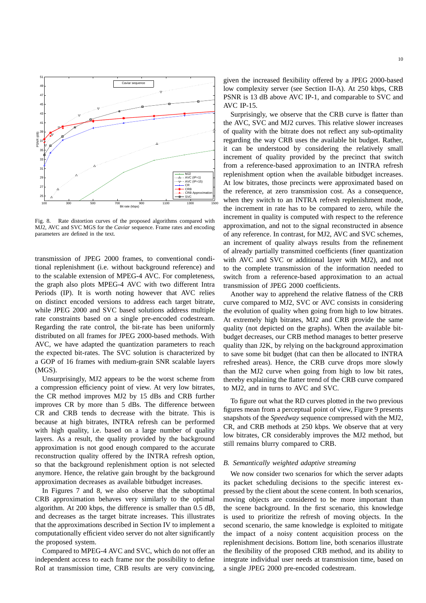

Fig. 8. Rate distortion curves of the proposed algorithms compared with MJ2, AVC and SVC MGS for the *Caviar* sequence. Frame rates and encoding parameters are defined in the text.

transmission of JPEG 2000 frames, to conventional conditional replenishment (i.e. without background reference) and to the scalable extension of MPEG-4 AVC. For completeness, the graph also plots MPEG-4 AVC with two different Intra Periods (IP). It is worth noting however that AVC relies on distinct encoded versions to address each target bitrate, while JPEG 2000 and SVC based solutions address multiple rate constraints based on a single pre-encoded codestream. Regarding the rate control, the bit-rate has been uniformly distributed on all frames for JPEG 2000-based methods. With AVC, we have adapted the quantization parameters to reach the expected bit-rates. The SVC solution is characterized by a GOP of 16 frames with medium-grain SNR scalable layers (MGS).

Unsurprisingly, MJ2 appears to be the worst scheme from a compression efficiency point of view. At very low bitrates, the CR method improves MJ2 by 15 dBs and CRB further improves CR by more than 5 dBs. The difference between CR and CRB tends to decrease with the bitrate. This is because at high bitrates, INTRA refresh can be performed with high quality, i.e. based on a large number of quality layers. As a result, the quality provided by the background approximation is not good enough compared to the accurate reconstruction quality offered by the INTRA refresh option, so that the background replenishment option is not selected anymore. Hence, the relative gain brought by the background approximation decreases as available bitbudget increases.

In Figures 7 and 8, we also observe that the suboptimal CRB approximation behaves very similarly to the optimal algorithm. At 200 kbps, the difference is smaller than 0.5 dB, and decreases as the target bitrate increases. This illustrates that the approximations described in Section IV to implement a computationally efficient video server do not alter significantly the proposed system.

Compared to MPEG-4 AVC and SVC, which do not offer an independent access to each frame nor the possibility to define RoI at transmission time, CRB results are very convincing,

given the increased flexibility offered by a JPEG 2000-based low complexity server (see Section II-A). At 250 kbps, CRB PSNR is 13 dB above AVC IP-1, and comparable to SVC and AVC IP-15.

Surprisingly, we observe that the CRB curve is flatter than the AVC, SVC and MJ2 curves. This relative slower increases of quality with the bitrate does not reflect any sub-optimality regarding the way CRB uses the available bit budget. Rather, it can be understood by considering the relatively small increment of quality provided by the precinct that switch from a reference-based approximation to an INTRA refresh replenishment option when the available bitbudget increases. At low bitrates, those precincts were approximated based on the reference, at zero transmission cost. As a consequence, when they switch to an INTRA refresh replenishment mode, the increment in rate has to be compared to zero, while the increment in quality is computed with respect to the reference approximation, and not to the signal reconstructed in absence of any reference. In contrast, for MJ2, AVC and SVC schemes, an increment of quality always results from the refinement of already partially transmitted coefficients (finer quantization with AVC and SVC or additional layer with MJ2), and not to the complete transmission of the information needed to switch from a reference-based approximation to an actual transmission of JPEG 2000 coefficients.

Another way to apprehend the relative flatness of the CRB curve compared to MJ2, SVC or AVC consists in considering the evolution of quality when going from high to low bitrates. At extremely high bitrates, MJ2 and CRB provide the same quality (not depicted on the graphs). When the available bitbudget decreases, our CRB method manages to better preserve quality than J2K, by relying on the background approximation to save some bit budget (that can then be allocated to INTRA refreshed areas). Hence, the CRB curve drops more slowly than the MJ2 curve when going from high to low bit rates, thereby explaining the flatter trend of the CRB curve compared to MJ2, and in turns to AVC and SVC.

To figure out what the RD curves plotted in the two previous figures mean from a perceptual point of view, Figure 9 presents snapshots of the *Speedway* sequence compressed with the MJ2, CR, and CRB methods at 250 kbps. We observe that at very low bitrates, CR considerably improves the MJ2 method, but still remains blurry compared to CRB.

#### *B. Semantically weighted adaptive streaming*

We now consider two scenarios for which the server adapts its packet scheduling decisions to the specific interest expressed by the client about the scene content. In both scenarios, moving objects are considered to be more important than the scene background. In the first scenario, this knowledge is used to prioritize the refresh of moving objects. In the second scenario, the same knowledge is exploited to mitigate the impact of a noisy content acquisition process on the replenishment decisions. Bottom line, both scenarios illustrate the flexibility of the proposed CRB method, and its ability to integrate individual user needs at transmission time, based on a single JPEG 2000 pre-encoded codestream.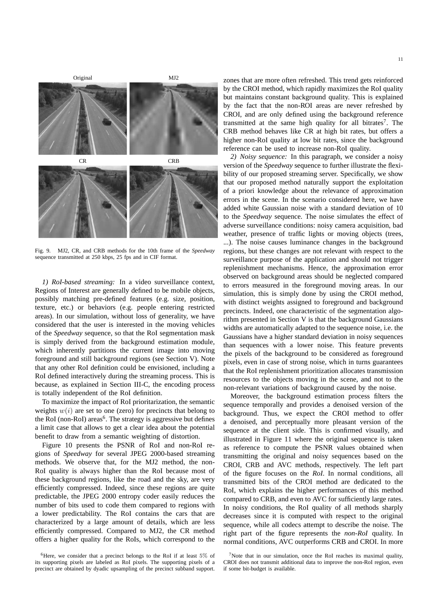

Fig. 9. MJ2, CR, and CRB methods for the 10th frame of the *Speedway* sequence transmitted at 250 kbps, 25 fps and in CIF format.

*1) RoI-based streaming:* In a video surveillance context, Regions of Interest are generally defined to be mobile objects, possibly matching pre-defined features (e.g. size, position, texture, etc.) or behaviors (e.g. people entering restricted areas). In our simulation, without loss of generality, we have considered that the user is interested in the moving vehicles of the *Speedway* sequence, so that the RoI segmentation mask is simply derived from the background estimation module, which inherently partitions the current image into moving foreground and still background regions (see Section V). Note that any other RoI definition could be envisioned, including a RoI defined interactively during the streaming process. This is because, as explained in Section III-C, the encoding process is totally independent of the RoI definition.

To maximize the impact of RoI prioritarization, the semantic weights  $w(i)$  are set to one (zero) for precincts that belong to the RoI (non-RoI) areas<sup>6</sup>. The strategy is aggressive but defines a limit case that allows to get a clear idea about the potential benefit to draw from a semantic weighting of distortion.

Figure 10 presents the PSNR of RoI and non-RoI regions of *Speedway* for several JPEG 2000-based streaming methods. We observe that, for the MJ2 method, the non-RoI quality is always higher than the RoI because most of these background regions, like the road and the sky, are very efficiently compressed. Indeed, since these regions are quite predictable, the JPEG 2000 entropy coder easily reduces the number of bits used to code them compared to regions with a lower predictability. The RoI contains the cars that are characterized by a large amount of details, which are less efficiently compressed. Compared to MJ2, the CR method offers a higher quality for the RoIs, which correspond to the zones that are more often refreshed. This trend gets reinforced by the CROI method, which rapidly maximizes the RoI quality but maintains constant background quality. This is explained by the fact that the non-ROI areas are never refreshed by CROI, and are only defined using the background reference transmitted at the same high quality for all bitrates<sup>7</sup>. The CRB method behaves like CR at high bit rates, but offers a higher non-RoI quality at low bit rates, since the background reference can be used to increase non-RoI quality.

*2) Noisy sequence:* In this paragraph, we consider a noisy version of the *Speedway* sequence to further illustrate the flexibility of our proposed streaming server. Specifically, we show that our proposed method naturally support the exploitation of a priori knowledge about the relevance of approximation errors in the scene. In the scenario considered here, we have added white Gaussian noise with a standard deviation of 10 to the *Speedway* sequence. The noise simulates the effect of adverse surveillance conditions: noisy camera acquisition, bad weather, presence of traffic lights or moving objects (trees, ...). The noise causes luminance changes in the background regions, but these changes are not relevant with respect to the surveillance purpose of the application and should not trigger replenishment mechanisms. Hence, the approximation error observed on background areas should be neglected compared to errors measured in the foreground moving areas. In our simulation, this is simply done by using the CROI method, with distinct weights assigned to foreground and background precincts. Indeed, one characteristic of the segmentation algorithm presented in Section V is that the background Gaussians widths are automatically adapted to the sequence noise, i.e. the Gaussians have a higher standard deviation in noisy sequences than sequences with a lower noise. This feature prevents the pixels of the background to be considered as foreground pixels, even in case of strong noise, which in turns guarantees that the RoI replenishment prioritization allocates transmission resources to the objects moving in the scene, and not to the non-relevant variations of background caused by the noise.

Moreover, the background estimation process filters the sequence temporally and provides a denoised version of the background. Thus, we expect the CROI method to offer a denoised, and perceptually more pleasant version of the sequence at the client side. This is confirmed visually, and illustrated in Figure 11 where the original sequence is taken as reference to compute the PSNR values obtained when transmitting the original and noisy sequences based on the CROI, CRB and AVC methods, respectively. The left part of the figure focuses on the *RoI*. In normal conditions, all transmitted bits of the CROI method are dedicated to the RoI, which explains the higher performances of this method compared to CRB, and even to AVC for sufficiently large rates. In noisy conditions, the RoI quality of all methods sharply decreases since it is computed with respect to the original sequence, while all codecs attempt to describe the noise. The right part of the figure represents the *non-RoI* quality. In normal conditions, AVC outperforms CRB and CROI. In more

 ${}^{6}$ Here, we consider that a precinct belongs to the RoI if at least 5% of its supporting pixels are labeled as RoI pixels. The supporting pixels of a precinct are obtained by dyadic upsampling of the precinct subband support.

<sup>&</sup>lt;sup>7</sup>Note that in our simulation, once the RoI reaches its maximal quality, CROI does not transmit additional data to improve the non-RoI region, even if some bit-budget is available.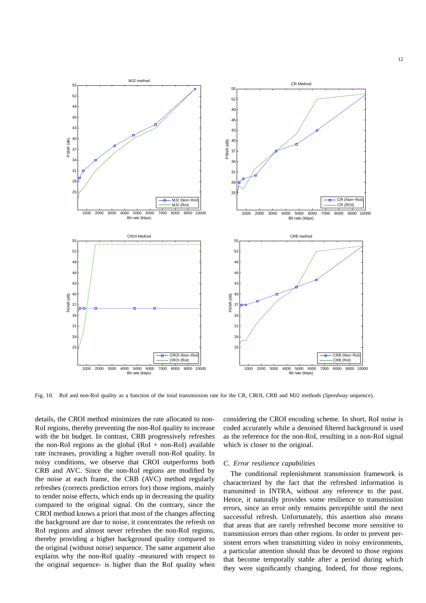

Fig. 10. RoI and non-RoI quality as a function of the total transmission rate for the CR, CROI, CRB and MJ2 methods (*Speedway* sequence).

details, the CROI method minimizes the rate allocated to non-RoI regions, thereby preventing the non-RoI quality to increase with the bit budget. In contrast, CRB progressively refreshes the non-RoI regions as the global  $(RoI + non-RoI)$  available rate increases, providing a higher overall non-RoI quality. In noisy conditions, we observe that CROI outperforms both CRB and AVC. Since the non-RoI regions are modified by the noise at each frame, the CRB (AVC) method regularly refreshes (corrects prediction errors for) those regions, mainly to render noise effects, which ends up in decreasing the quality compared to the original signal. On the contrary, since the CROI method knows a priori that most of the changes affecting the background are due to noise, it concentrates the refresh on RoI regions and almost never refreshes the non-RoI regions, thereby providing a higher background quality compared to the original (without noise) sequence. The same argument also explains why the non-RoI quality -measured with respect to the original sequence- is higher than the RoI quality when considering the CROI encoding scheme. In short, RoI noise is coded accurately while a denoised filtered background is used as the reference for the non-RoI, resulting in a non-RoI signal which is closer to the original.

#### *C. Error resilience capabilities*

The conditional replenishment transmission framework is characterized by the fact that the refreshed information is transmitted in INTRA, without any reference to the past. Hence, it naturally provides some resilience to transmission errors, since an error only remains perceptible until the next successful refresh. Unfortunately, this assertion also means that areas that are rarely refreshed become more sensitive to transmission errors than other regions. In order to prevent persistent errors when transmitting video in noisy environments, a particular attention should thus be devoted to those regions that become temporally stable after a period during which they were significantly changing. Indeed, for those regions,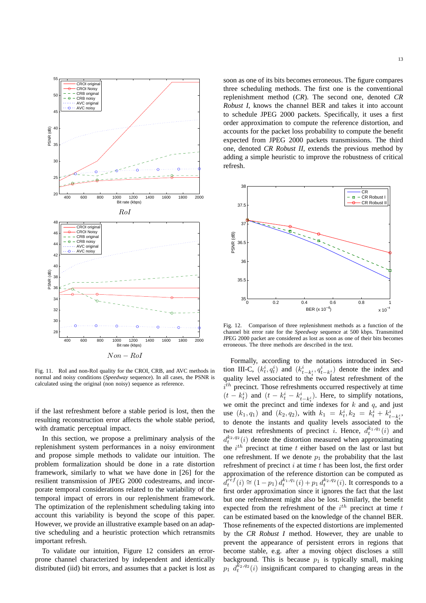

Fig. 11. RoI and non-RoI quality for the CROI, CRB, and AVC methods in normal and noisy conditions (*Speedway* sequence). In all cases, the PSNR is calculated using the original (non noisy) sequence as reference.

if the last refreshment before a stable period is lost, then the resulting reconstruction error affects the whole stable period, with dramatic perceptual impact.

In this section, we propose a preliminary analysis of the replenishment system performances in a noisy environment and propose simple methods to validate our intuition. The problem formalization should be done in a rate distortion framework, similarly to what we have done in [26] for the resilient transmission of JPEG 2000 codestreams, and incorporate temporal considerations related to the variability of the temporal impact of errors in our replenishment framework. The optimization of the replenishment scheduling taking into account this variability is beyond the scope of this paper. However, we provide an illustrative example based on an adaptive scheduling and a heuristic protection which retransmits important refresh.

To validate our intuition, Figure 12 considers an errorprone channel characterized by independent and identically distributed (iid) bit errors, and assumes that a packet is lost as soon as one of its bits becomes erroneous. The figure compares three scheduling methods. The first one is the conventional replenishment method (*CR*). The second one, denoted *CR Robust I*, knows the channel BER and takes it into account to schedule JPEG 2000 packets. Specifically, it uses a first order approximation to compute the reference distortion, and accounts for the packet loss probability to compute the benefit expected from JPEG 2000 packets transmissions. The third one, denoted *CR Robust II*, extends the previous method by adding a simple heuristic to improve the robustness of critical refresh.



Fig. 12. Comparison of three replenishment methods as a function of the channel bit error rate for the *Speedway* sequence at 500 kbps. Transmitted JPEG 2000 packet are considered as lost as soon as one of their bits becomes erroneous. The three methods are described in the text.

Formally, according to the notations introduced in Section III-C,  $(k_t^i, q_t^i)$  and  $(k_{t-k_t^i}^i, q_{t-k_t^i}^i)$  denote the index and quality level associated to the two latest refreshment of the  $i<sup>th</sup>$  precinct. Those refreshments occurred respectively at time  $(t - k_t^i)$  and  $(t - k_t^i - k_{t-k_t^i}^i)$ . Here, to simplify notations, we omit the precinct and time indexes for k and q, and just use  $(k_1, q_1)$  and  $(k_2, q_2)$ , with  $k_1 = k_t^i, k_2 = k_t^i + k_{t-k_t^i}^i$ , to denote the instants and quality levels associated to the two latest refreshments of precinct *i*. Hence,  $d_t^{k_1, q_1}(i)$  and  $d_t^{k_2,q_2}(i)$  denote the distortion measured when approximating the  $i^{th}$  precinct at time t either based on the last or last but one refreshment. If we denote  $p_1$  the probability that the last refreshment of precinct  $i$  at time  $t$  has been lost, the first order approximation of the reference distortion can be computed as  $d_t^{\tilde{ref}}(i) \cong (1-p_1) d_t^{k_1,q_1}(i) + p_1 d_t^{k_2,q_2}(i)$ . It corresponds to a first order approximation since it ignores the fact that the last but one refreshment might also be lost. Similarly, the benefit expected from the refreshment of the  $i^{th}$  precinct at time t can be estimated based on the knowledge of the channel BER. Those refinements of the expected distortions are implemented by the *CR Robust I* method. However, they are unable to prevent the appearance of persistent errors in regions that become stable, e.g. after a moving object discloses a still background. This is because  $p_1$  is typically small, making  $p_1$   $d_t^{k_2,q_2}(i)$  insignificant compared to changing areas in the